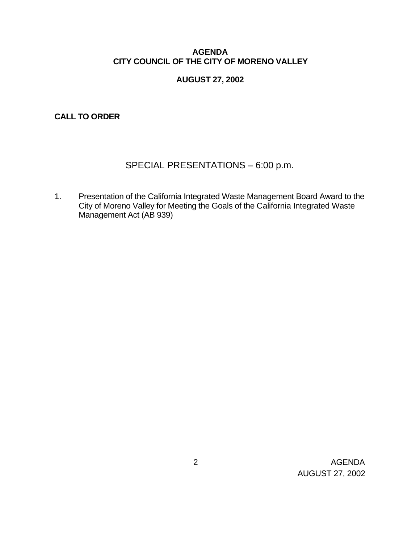# **AGENDA CITY COUNCIL OF THE CITY OF MORENO VALLEY**

# **AUGUST 27, 2002**

**CALL TO ORDER**

# SPECIAL PRESENTATIONS – 6:00 p.m.

1. Presentation of the California Integrated Waste Management Board Award to the City of Moreno Valley for Meeting the Goals of the California Integrated Waste Management Act (AB 939)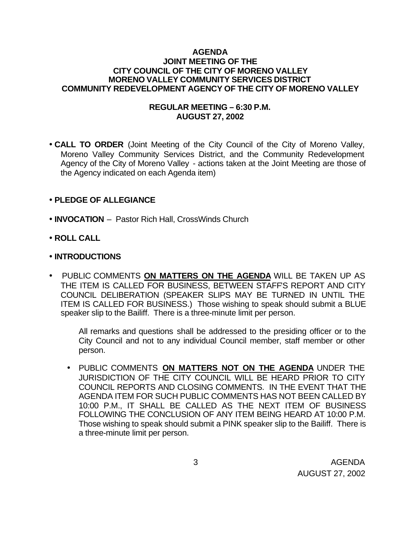#### **AGENDA JOINT MEETING OF THE CITY COUNCIL OF THE CITY OF MORENO VALLEY MORENO VALLEY COMMUNITY SERVICES DISTRICT COMMUNITY REDEVELOPMENT AGENCY OF THE CITY OF MORENO VALLEY**

# **REGULAR MEETING – 6:30 P.M. AUGUST 27, 2002**

• **CALL TO ORDER** (Joint Meeting of the City Council of the City of Moreno Valley, Moreno Valley Community Services District, and the Community Redevelopment Agency of the City of Moreno Valley - actions taken at the Joint Meeting are those of the Agency indicated on each Agenda item)

# • **PLEDGE OF ALLEGIANCE**

- **INVOCATION** Pastor Rich Hall, CrossWinds Church
- **ROLL CALL**
- **INTRODUCTIONS**
- PUBLIC COMMENTS **ON MATTERS ON THE AGENDA** WILL BE TAKEN UP AS THE ITEM IS CALLED FOR BUSINESS, BETWEEN STAFFS REPORT AND CITY COUNCIL DELIBERATION (SPEAKER SLIPS MAY BE TURNED IN UNTIL THE ITEM IS CALLED FOR BUSINESS.) Those wishing to speak should submit a BLUE speaker slip to the Bailiff. There is a three-minute limit per person.

All remarks and questions shall be addressed to the presiding officer or to the City Council and not to any individual Council member, staff member or other person.

• PUBLIC COMMENTS **ON MATTERS NOT ON THE AGENDA** UNDER THE JURISDICTION OF THE CITY COUNCIL WILL BE HEARD PRIOR TO CITY COUNCIL REPORTS AND CLOSING COMMENTS. IN THE EVENT THAT THE AGENDA ITEM FOR SUCH PUBLIC COMMENTS HAS NOT BEEN CALLED BY 10:00 P.M., IT SHALL BE CALLED AS THE NEXT ITEM OF BUSINESS FOLLOWING THE CONCLUSION OF ANY ITEM BEING HEARD AT 10:00 P.M. Those wishing to speak should submit a PINK speaker slip to the Bailiff. There is a three-minute limit per person.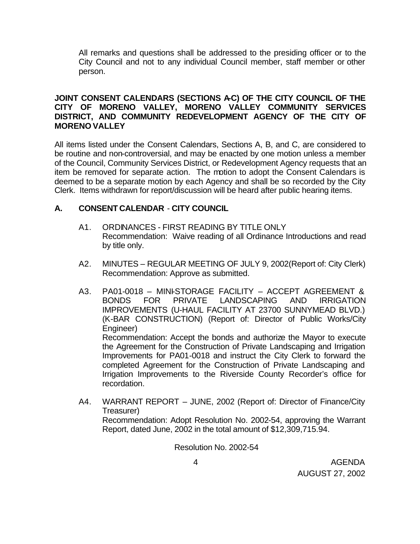All remarks and questions shall be addressed to the presiding officer or to the City Council and not to any individual Council member, staff member or other person.

# **JOINT CONSENT CALENDARS (SECTIONS A-C) OF THE CITY COUNCIL OF THE CITY OF MORENO VALLEY, MORENO VALLEY COMMUNITY SERVICES DISTRICT, AND COMMUNITY REDEVELOPMENT AGENCY OF THE CITY OF MORENO VALLEY**

All items listed under the Consent Calendars, Sections A, B, and C, are considered to be routine and non-controversial, and may be enacted by one motion unless a member of the Council, Community Services District, or Redevelopment Agency requests that an item be removed for separate action. The motion to adopt the Consent Calendars is deemed to be a separate motion by each Agency and shall be so recorded by the City Clerk. Items withdrawn for report/discussion will be heard after public hearing items.

# **A. CONSENT CALENDAR** - **CITY COUNCIL**

- A1. ORDINANCES FIRST READING BY TITLE ONLY Recommendation: Waive reading of all Ordinance Introductions and read by title only.
- A2. MINUTES REGULAR MEETING OF JULY 9, 2002(Report of: City Clerk) Recommendation: Approve as submitted.
- A3. PA01-0018 MINI-STORAGE FACILITY ACCEPT AGREEMENT & BONDS FOR PRIVATE LANDSCAPING AND IRRIGATION IMPROVEMENTS (U-HAUL FACILITY AT 23700 SUNNYMEAD BLVD.) (K-BAR CONSTRUCTION) (Report of: Director of Public Works/City Engineer) Recommendation: Accept the bonds and authorize the Mayor to execute the Agreement for the Construction of Private Landscaping and Irrigation Improvements for PA01-0018 and instruct the City Clerk to forward the

completed Agreement for the Construction of Private Landscaping and Irrigation Improvements to the Riverside County Recorder's office for recordation.

A4. WARRANT REPORT – JUNE, 2002 (Report of: Director of Finance/City Treasurer) Recommendation: Adopt Resolution No. 2002-54, approving the Warrant Report, dated June, 2002 in the total amount of \$12,309,715.94.

Resolution No. 2002-54

 4 AGENDA AUGUST 27, 2002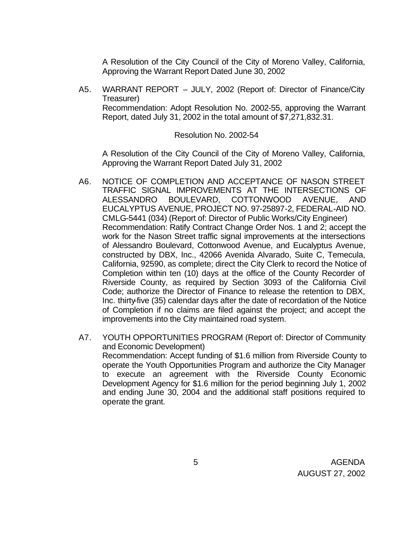A Resolution of the City Council of the City of Moreno Valley, California, Approving the Warrant Report Dated June 30, 2002

A5. WARRANT REPORT – JULY, 2002 (Report of: Director of Finance/City Treasurer) Recommendation: Adopt Resolution No. 2002-55, approving the Warrant Report, dated July 31, 2002 in the total amount of \$7,271,832.31.

#### Resolution No. 2002-54

A Resolution of the City Council of the City of Moreno Valley, California, Approving the Warrant Report Dated July 31, 2002

- A6. NOTICE OF COMPLETION AND ACCEPTANCE OF NASON STREET TRAFFIC SIGNAL IMPROVEMENTS AT THE INTERSECTIONS OF ALESSANDRO BOULEVARD, COTTONWOOD AVENUE, AND EUCALYPTUS AVENUE, PROJECT NO. 97-25897-2, FEDERAL-AID NO. CMLG-5441 (034) (Report of: Director of Public Works/City Engineer) Recommendation: Ratify Contract Change Order Nos. 1 and 2; accept the work for the Nason Street traffic signal improvements at the intersections of Alessandro Boulevard, Cottonwood Avenue, and Eucalyptus Avenue, constructed by DBX, Inc., 42066 Avenida Alvarado, Suite C, Temecula, California, 92590, as complete; direct the City Clerk to record the Notice of Completion within ten (10) days at the office of the County Recorder of Riverside County, as required by Section 3093 of the California Civil Code; authorize the Director of Finance to release the retention to DBX, Inc. thirty-five (35) calendar days after the date of recordation of the Notice of Completion if no claims are filed against the project; and accept the improvements into the City maintained road system.
- A7. YOUTH OPPORTUNITIES PROGRAM (Report of: Director of Community and Economic Development) Recommendation: Accept funding of \$1.6 million from Riverside County to operate the Youth Opportunities Program and authorize the City Manager to execute an agreement with the Riverside County Economic Development Agency for \$1.6 million for the period beginning July 1, 2002 and ending June 30, 2004 and the additional staff positions required to operate the grant.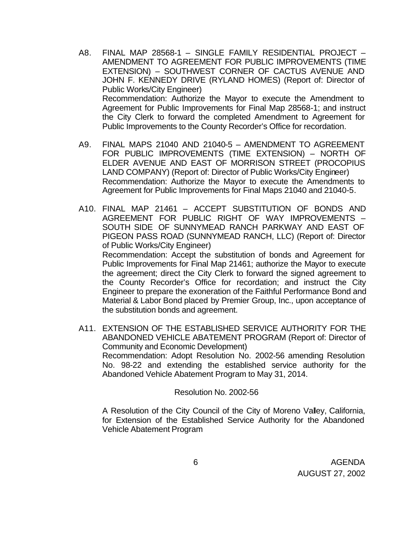- A8. FINAL MAP 28568-1 SINGLE FAMILY RESIDENTIAL PROJECT AMENDMENT TO AGREEMENT FOR PUBLIC IMPROVEMENTS (TIME EXTENSION) – SOUTHWEST CORNER OF CACTUS AVENUE AND JOHN F. KENNEDY DRIVE (RYLAND HOMES) (Report of: Director of Public Works/City Engineer) Recommendation: Authorize the Mayor to execute the Amendment to Agreement for Public Improvements for Final Map 28568-1; and instruct the City Clerk to forward the completed Amendment to Agreement for Public Improvements to the County Recorder's Office for recordation.
- A9. FINAL MAPS 21040 AND 21040-5 AMENDMENT TO AGREEMENT FOR PUBLIC IMPROVEMENTS (TIME EXTENSION) – NORTH OF ELDER AVENUE AND EAST OF MORRISON STREET (PROCOPIUS LAND COMPANY) (Report of: Director of Public Works/City Engineer) Recommendation: Authorize the Mayor to execute the Amendments to Agreement for Public Improvements for Final Maps 21040 and 21040-5.
- A10. FINAL MAP 21461 ACCEPT SUBSTITUTION OF BONDS AND AGREEMENT FOR PUBLIC RIGHT OF WAY IMPROVEMENTS – SOUTH SIDE OF SUNNYMEAD RANCH PARKWAY AND EAST OF PIGEON PASS ROAD (SUNNYMEAD RANCH, LLC) (Report of: Director of Public Works/City Engineer) Recommendation: Accept the substitution of bonds and Agreement for Public Improvements for Final Map 21461; authorize the Mayor to execute the agreement; direct the City Clerk to forward the signed agreement to the County Recorder's Office for recordation; and instruct the City Engineer to prepare the exoneration of the Faithful Performance Bond and Material & Labor Bond placed by Premier Group, Inc., upon acceptance of the substitution bonds and agreement.
- A11. EXTENSION OF THE ESTABLISHED SERVICE AUTHORITY FOR THE ABANDONED VEHICLE ABATEMENT PROGRAM (Report of: Director of Community and Economic Development) Recommendation: Adopt Resolution No. 2002-56 amending Resolution No. 98-22 and extending the established service authority for the Abandoned Vehicle Abatement Program to May 31, 2014.

Resolution No. 2002-56

A Resolution of the City Council of the City of Moreno Valley, California, for Extension of the Established Service Authority for the Abandoned Vehicle Abatement Program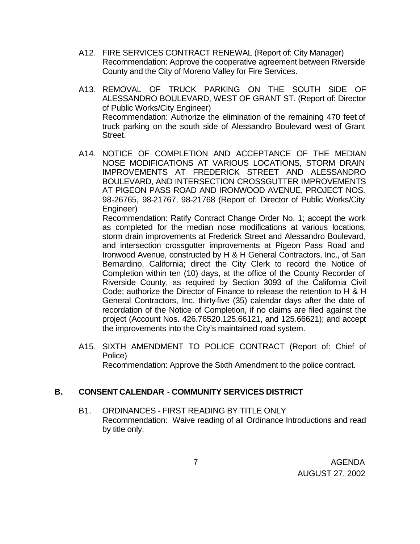- A12. FIRE SERVICES CONTRACT RENEWAL (Report of: City Manager) Recommendation: Approve the cooperative agreement between Riverside County and the City of Moreno Valley for Fire Services.
- A13. REMOVAL OF TRUCK PARKING ON THE SOUTH SIDE OF ALESSANDRO BOULEVARD, WEST OF GRANT ST. (Report of: Director of Public Works/City Engineer) Recommendation: Authorize the elimination of the remaining 470 feet of truck parking on the south side of Alessandro Boulevard west of Grant Street.
- A14. NOTICE OF COMPLETION AND ACCEPTANCE OF THE MEDIAN NOSE MODIFICATIONS AT VARIOUS LOCATIONS, STORM DRAIN IMPROVEMENTS AT FREDERICK STREET AND ALESSANDRO BOULEVARD, AND INTERSECTION CROSSGUTTER IMPROVEMENTS AT PIGEON PASS ROAD AND IRONWOOD AVENUE, PROJECT NOS. 98-26765, 98-21767, 98-21768 (Report of: Director of Public Works/City Engineer)

Recommendation: Ratify Contract Change Order No. 1; accept the work as completed for the median nose modifications at various locations, storm drain improvements at Frederick Street and Alessandro Boulevard, and intersection crossgutter improvements at Pigeon Pass Road and Ironwood Avenue, constructed by H & H General Contractors, Inc., of San Bernardino, California; direct the City Clerk to record the Notice of Completion within ten (10) days, at the office of the County Recorder of Riverside County, as required by Section 3093 of the California Civil Code; authorize the Director of Finance to release the retention to H & H General Contractors, Inc. thirty-five (35) calendar days after the date of recordation of the Notice of Completion, if no claims are filed against the project (Account Nos. 426.76520.125.66121, and 125.66621); and accept the improvements into the City's maintained road system.

A15. SIXTH AMENDMENT TO POLICE CONTRACT (Report of: Chief of Police)

Recommendation: Approve the Sixth Amendment to the police contract.

# **B. CONSENT CALENDAR** - **COMMUNITY SERVICES DISTRICT**

B1. ORDINANCES - FIRST READING BY TITLE ONLY Recommendation: Waive reading of all Ordinance Introductions and read by title only.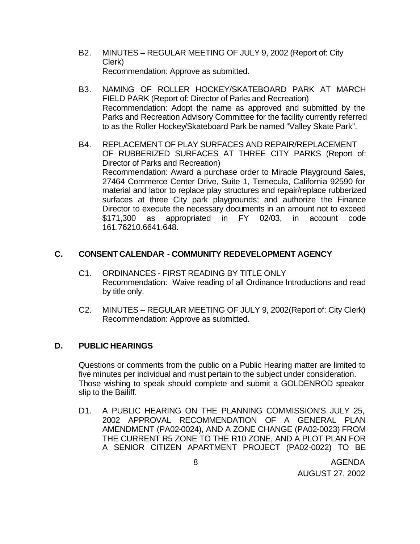- B2. MINUTES REGULAR MEETING OF JULY 9, 2002 (Report of: City Clerk) Recommendation: Approve as submitted.
- B3. NAMING OF ROLLER HOCKEY/SKATEBOARD PARK AT MARCH FIELD PARK (Report of: Director of Parks and Recreation) Recommendation: Adopt the name as approved and submitted by the Parks and Recreation Advisory Committee for the facility currently referred to as the Roller Hockey/Skateboard Park be named "Valley Skate Park".
- B4. REPLACEMENT OF PLAY SURFACES AND REPAIR/REPLACEMENT OF RUBBERIZED SURFACES AT THREE CITY PARKS (Report of: Director of Parks and Recreation) Recommendation: Award a purchase order to Miracle Playground Sales, 27464 Commerce Center Drive, Suite 1, Temecula, California 92590 for material and labor to replace play structures and repair/replace rubberized surfaces at three City park playgrounds; and authorize the Finance Director to execute the necessary documents in an amount not to exceed \$171,300 as appropriated in FY 02/03, in account code 161.76210.6641.648.

# **C. CONSENT CALENDAR** - **COMMUNITY REDEVELOPMENT AGENCY**

- C1. ORDINANCES FIRST READING BY TITLE ONLY Recommendation: Waive reading of all Ordinance Introductions and read by title only.
- C2. MINUTES REGULAR MEETING OF JULY 9, 2002(Report of: City Clerk) Recommendation: Approve as submitted.

# **D. PUBLIC HEARINGS**

Questions or comments from the public on a Public Hearing matter are limited to five minutes per individual and must pertain to the subject under consideration. Those wishing to speak should complete and submit a GOLDENROD speaker slip to the Bailiff.

D1. A PUBLIC HEARING ON THE PLANNING COMMISSION'S JULY 25, 2002 APPROVAL RECOMMENDATION OF A GENERAL PLAN AMENDMENT (PA02-0024), AND A ZONE CHANGE (PA02-0023) FROM THE CURRENT R5 ZONE TO THE R10 ZONE, AND A PLOT PLAN FOR A SENIOR CITIZEN APARTMENT PROJECT (PA02-0022) TO BE

 8 AGENDA AUGUST 27, 2002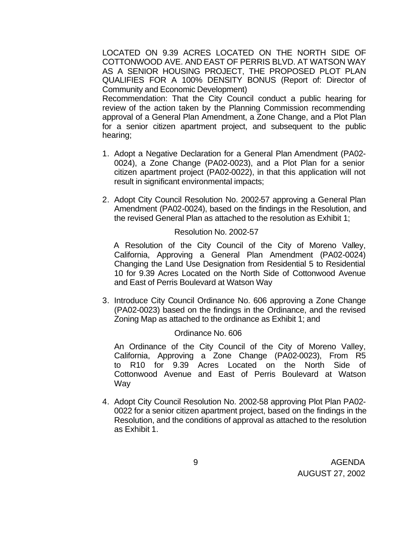LOCATED ON 9.39 ACRES LOCATED ON THE NORTH SIDE OF COTTONWOOD AVE. AND EAST OF PERRIS BLVD. AT WATSON WAY AS A SENIOR HOUSING PROJECT, THE PROPOSED PLOT PLAN QUALIFIES FOR A 100% DENSITY BONUS (Report of: Director of Community and Economic Development)

Recommendation: That the City Council conduct a public hearing for review of the action taken by the Planning Commission recommending approval of a General Plan Amendment, a Zone Change, and a Plot Plan for a senior citizen apartment project, and subsequent to the public hearing;

- 1. Adopt a Negative Declaration for a General Plan Amendment (PA02- 0024), a Zone Change (PA02-0023), and a Plot Plan for a senior citizen apartment project (PA02-0022), in that this application will not result in significant environmental impacts;
- 2. Adopt City Council Resolution No. 2002-57 approving a General Plan Amendment (PA02-0024), based on the findings in the Resolution, and the revised General Plan as attached to the resolution as Exhibit 1;

#### Resolution No. 2002-57

 A Resolution of the City Council of the City of Moreno Valley, California, Approving a General Plan Amendment (PA02-0024) Changing the Land Use Designation from Residential 5 to Residential 10 for 9.39 Acres Located on the North Side of Cottonwood Avenue and East of Perris Boulevard at Watson Way

3. Introduce City Council Ordinance No. 606 approving a Zone Change (PA02-0023) based on the findings in the Ordinance, and the revised Zoning Map as attached to the ordinance as Exhibit 1; and

#### Ordinance No. 606

An Ordinance of the City Council of the City of Moreno Valley, California, Approving a Zone Change (PA02-0023), From R5 to R10 for 9.39 Acres Located on the North Side of Cottonwood Avenue and East of Perris Boulevard at Watson Way

4. Adopt City Council Resolution No. 2002-58 approving Plot Plan PA02- 0022 for a senior citizen apartment project, based on the findings in the Resolution, and the conditions of approval as attached to the resolution as Exhibit 1.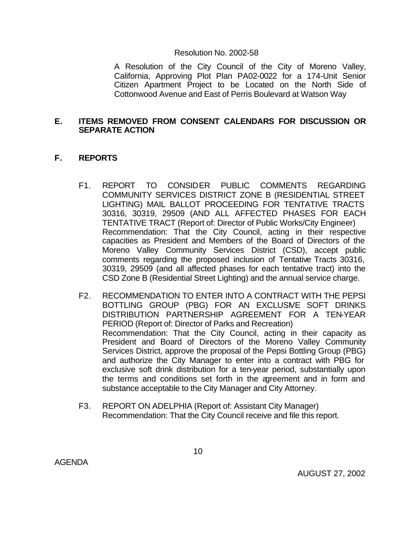#### Resolution No. 2002-58

A Resolution of the City Council of the City of Moreno Valley, California, Approving Plot Plan PA02-0022 for a 174-Unit Senior Citizen Apartment Project to be Located on the North Side of Cottonwood Avenue and East of Perris Boulevard at Watson Way

### **E. ITEMS REMOVED FROM CONSENT CALENDARS FOR DISCUSSION OR SEPARATE ACTION**

## **F. REPORTS**

- F1. REPORT TO CONSIDER PUBLIC COMMENTS REGARDING COMMUNITY SERVICES DISTRICT ZONE B (RESIDENTIAL STREET LIGHTING) MAIL BALLOT PROCEEDING FOR TENTATIVE TRACTS 30316, 30319, 29509 (AND ALL AFFECTED PHASES FOR EACH TENTATIVE TRACT (Report of: Director of Public Works/City Engineer) Recommendation: That the City Council, acting in their respective capacities as President and Members of the Board of Directors of the Moreno Valley Community Services District (CSD), accept public comments regarding the proposed inclusion of Tentative Tracts 30316, 30319, 29509 (and all affected phases for each tentative tract) into the CSD Zone B (Residential Street Lighting) and the annual service charge.
- F2. RECOMMENDATION TO ENTER INTO A CONTRACT WITH THE PEPSI BOTTLING GROUP (PBG) FOR AN EXCLUSIVE SOFT DRINKS DISTRIBUTION PARTNERSHIP AGREEMENT FOR A TEN-YEAR PERIOD (Report of: Director of Parks and Recreation) Recommendation: That the City Council, acting in their capacity as President and Board of Directors of the Moreno Valley Community Services District, approve the proposal of the Pepsi Bottling Group (PBG) and authorize the City Manager to enter into a contract with PBG for exclusive soft drink distribution for a ten-year period, substantially upon the terms and conditions set forth in the agreement and in form and substance acceptable to the City Manager and City Attorney.
- F3. REPORT ON ADELPHIA (Report of: Assistant City Manager) Recommendation: That the City Council receive and file this report.

AGENDA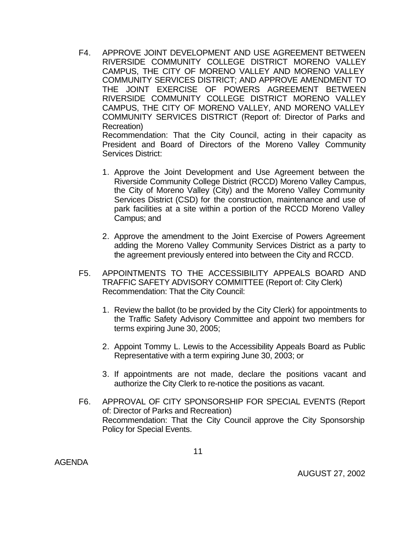F4. APPROVE JOINT DEVELOPMENT AND USE AGREEMENT BETWEEN RIVERSIDE COMMUNITY COLLEGE DISTRICT MORENO VALLEY CAMPUS, THE CITY OF MORENO VALLEY AND MORENO VALLEY COMMUNITY SERVICES DISTRICT; AND APPROVE AMENDMENT TO THE JOINT EXERCISE OF POWERS AGREEMENT BETWEEN RIVERSIDE COMMUNITY COLLEGE DISTRICT MORENO VALLEY CAMPUS, THE CITY OF MORENO VALLEY, AND MORENO VALLEY COMMUNITY SERVICES DISTRICT (Report of: Director of Parks and Recreation) Recommendation: That the City Council, acting in their capacity as

President and Board of Directors of the Moreno Valley Community Services District:

- 1. Approve the Joint Development and Use Agreement between the Riverside Community College District (RCCD) Moreno Valley Campus, the City of Moreno Valley (City) and the Moreno Valley Community Services District (CSD) for the construction, maintenance and use of park facilities at a site within a portion of the RCCD Moreno Valley Campus; and
- 2. Approve the amendment to the Joint Exercise of Powers Agreement adding the Moreno Valley Community Services District as a party to the agreement previously entered into between the City and RCCD.
- F5. APPOINTMENTS TO THE ACCESSIBILITY APPEALS BOARD AND TRAFFIC SAFETY ADVISORY COMMITTEE (Report of: City Clerk) Recommendation: That the City Council:
	- 1. Review the ballot (to be provided by the City Clerk) for appointments to the Traffic Safety Advisory Committee and appoint two members for terms expiring June 30, 2005;
	- 2. Appoint Tommy L. Lewis to the Accessibility Appeals Board as Public Representative with a term expiring June 30, 2003; or
	- 3. If appointments are not made, declare the positions vacant and authorize the City Clerk to re-notice the positions as vacant.
- F6. APPROVAL OF CITY SPONSORSHIP FOR SPECIAL EVENTS (Report of: Director of Parks and Recreation) Recommendation: That the City Council approve the City Sponsorship Policy for Special Events.

AGENDA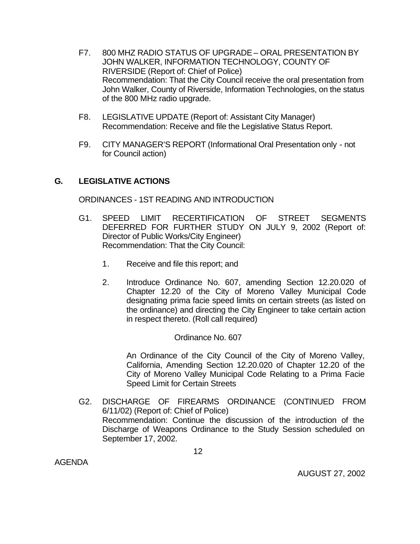- F7. 800 MHZ RADIO STATUS OF UPGRADE ORAL PRESENTATION BY JOHN WALKER, INFORMATION TECHNOLOGY, COUNTY OF RIVERSIDE (Report of: Chief of Police) Recommendation: That the City Council receive the oral presentation from John Walker, County of Riverside, Information Technologies, on the status of the 800 MHz radio upgrade.
- F8. LEGISLATIVE UPDATE (Report of: Assistant City Manager) Recommendation: Receive and file the Legislative Status Report.
- F9. CITY MANAGER'S REPORT (Informational Oral Presentation only not for Council action)

# **G. LEGISLATIVE ACTIONS**

ORDINANCES - 1ST READING AND INTRODUCTION

- G1. SPEED LIMIT RECERTIFICATION OF STREET SEGMENTS DEFERRED FOR FURTHER STUDY ON JULY 9, 2002 (Report of: Director of Public Works/City Engineer) Recommendation: That the City Council:
	- 1. Receive and file this report; and
	- 2. Introduce Ordinance No. 607, amending Section 12.20.020 of Chapter 12.20 of the City of Moreno Valley Municipal Code designating prima facie speed limits on certain streets (as listed on the ordinance) and directing the City Engineer to take certain action in respect thereto. (Roll call required)

Ordinance No. 607

An Ordinance of the City Council of the City of Moreno Valley, California, Amending Section 12.20.020 of Chapter 12.20 of the City of Moreno Valley Municipal Code Relating to a Prima Facie Speed Limit for Certain Streets

G2. DISCHARGE OF FIREARMS ORDINANCE (CONTINUED FROM 6/11/02) (Report of: Chief of Police) Recommendation: Continue the discussion of the introduction of the Discharge of Weapons Ordinance to the Study Session scheduled on September 17, 2002.

AGENDA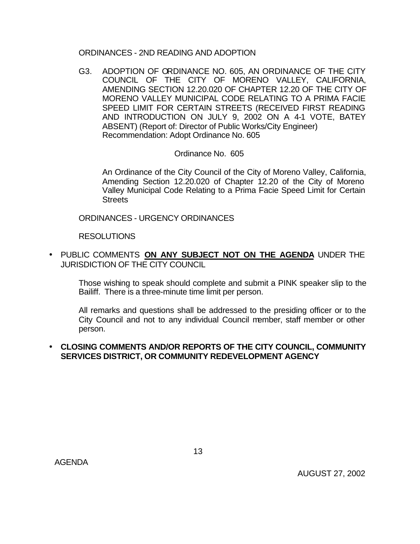### ORDINANCES - 2ND READING AND ADOPTION

G3. ADOPTION OF ORDINANCE NO. 605, AN ORDINANCE OF THE CITY COUNCIL OF THE CITY OF MORENO VALLEY, CALIFORNIA, AMENDING SECTION 12.20.020 OF CHAPTER 12.20 OF THE CITY OF MORENO VALLEY MUNICIPAL CODE RELATING TO A PRIMA FACIE SPEED LIMIT FOR CERTAIN STREETS (RECEIVED FIRST READING AND INTRODUCTION ON JULY 9, 2002 ON A 4-1 VOTE, BATEY ABSENT) (Report of: Director of Public Works/City Engineer) Recommendation: Adopt Ordinance No. 605

## Ordinance No. 605

An Ordinance of the City Council of the City of Moreno Valley, California, Amending Section 12.20.020 of Chapter 12.20 of the City of Moreno Valley Municipal Code Relating to a Prima Facie Speed Limit for Certain **Streets** 

ORDINANCES - URGENCY ORDINANCES

RESOLUTIONS

• PUBLIC COMMENTS **ON ANY SUBJECT NOT ON THE AGENDA** UNDER THE JURISDICTION OF THE CITY COUNCIL

Those wishing to speak should complete and submit a PINK speaker slip to the Bailiff. There is a three-minute time limit per person.

All remarks and questions shall be addressed to the presiding officer or to the City Council and not to any individual Council member, staff member or other person.

## • **CLOSING COMMENTS AND/OR REPORTS OF THE CITY COUNCIL, COMMUNITY SERVICES DISTRICT, OR COMMUNITY REDEVELOPMENT AGENCY**

AGENDA